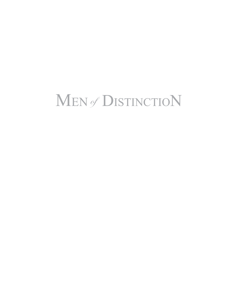# Men ofDistinctioN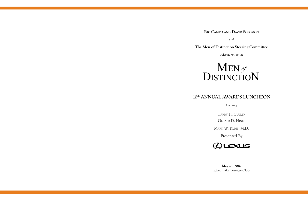## **Ric Campo and David Solomon**

*and*

## **The Men of Distinction Steering Committee**

*welcome you to the*

 $\mathbf{M}\texttt{EN}\mathscr{G}$ DISTINCTION



## **10th ANNUAL AWARDS LUNCHEON**

*honoring*

Harry H. Cullen

Gerald D. Hines

Mark W. Kline, M.D.



Presented By



**May 25, 2016** River Oaks Country Club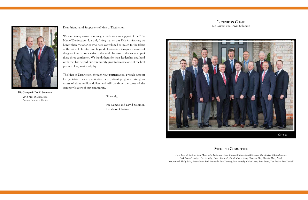Dear Friends and Supporters of Men of Distinction:

We want to express our sincere gratitude for your support of the 2016 Men of Distinction. It is only fitting that on our 10th Anniversary we honor three visionaries who have contributed so much to the fabric of the City of Houston and beyond. Houston is recognized as one of the great international cities of the world because of the leadership of these three gentlemen. We thank them for their leadership and hard work that has helped our community grow to become one of the best places to live, work and play.

The Men of Distinction, through your participation, provide support for pediatric research, education and patient programs raising an excess of three million dollars and will continue the cause of the visionary leaders of our community.

Sincerely,

Ric Campo and David Solomon Luncheon Chairmen



**Ric Campo & David Solomon** *2016 Men of Distinction Awards Luncheon Chairs*

**Luncheon Chair** Ric Campo and David Solomon

## **Steering Committee**

*Front Row left to right: Steve Mach, John Eads, Jesse Tutor, Michael Mithoff, David Solomon, Ric Campo, Billy McCartney Back Row left to right: Bret Aldridge, David Wuthrich, Ed McMahon, Haag Sherman, Tony Gracely, Harry Mach Not pictured: Philip Bahr, Patrick Burk, Paul Somerville, Lisa Kennedy, Paul Murphy, Colter Lewis, Scott Evans, Don Jordan, Jack Kendall*

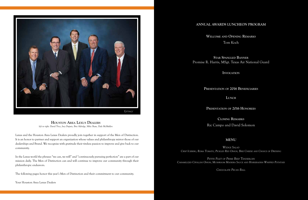

## **ANNUAL AWARDS LUNCHEON PROGRAM**

**Welcome and Opening Remarks** Tom Koch

**Star Spangled Banner** Promise R. Harris, MSgt. Texas Air National Guard

**Invocation**

**Presentation of 2016 Beneficiaries**

**Lunch**

**Presentation of 2016 Honorees**

**Closing Remarks** Ric Campo and David Solomon

## **MENU**

*Wedge Salad Crisp Iceberg, Roma Tomato, Pickled Red Onion, Brie Cheese and Choice of Dressing*

*Petite Filet of Prime Beef Tenderloin Caramelized Cipollini Onion, Mushroom Madeira Sauce and Horseradish Whipped Potatoes*

*Chocolate Pecan Ball*

Lexus and the Houston Area Lexus Dealers proudly join together in support of the Men of Distinction. It is an honor to partner and support an organization whose values and philanthropy mirror those of our dealerships and Brand. We recognize with gratitude their tireless passion to improve and give back to our community.

In the Lexus world the phrases "we can, we will" and "continuously pursuing perfection" are a part of our mission daily. The Men of Distinction can and will continue to improve our community through their philanthropic endeavors.

The following pages honor this year's Men of Distinction and their commitment to our community.

Your Houston Area Lexus Dealers

**Houston Area Lexus Dealers** *left to right: David Trice, Joey Dupuis, Bret Aldridge, Mike Shaw, Dale McMullen*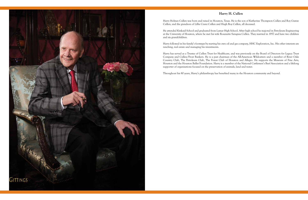## **Harry H. Cullen**



Harry Holmes Cullen was born and raised in Houston, Texas. He is the son of Katherine Thompson Cullen and Roy Gustav Cullen, and the grandson of Lillie Cranz Cullen and Hugh Roy Cullen, all deceased.

He attended Kinkaid School and graduated from Lamar High School. After high school he majored in Petroleum Engineering at the University of Houston, where he met his wife Rosanette Saragusa Cullen. They married in 1957 and have two children and six grandchildren.

Harry followed in his family's footsteps by starting his own oil and gas company, HHC Exploration, Inc. His other interests are ranching, real estate and managing his investments.

Harry has served as a Trustee of Cullen Trust for Healthcare, and was previously on the Board of Directors for Legacy Trust Company and Cullen/Frost Bankers. He is a past chairman of the All-American Wildcatters and a member of River Oaks Country Club, The Petroleum Club, The Forest Club of Houston and Allegro. He supports the Museum of Fine Arts, Houston and the Houston Ballet Foundation. Harry is a member of the National Cattlemen's Beef Association and a lifelong supporter of organizations focused on the preservation of animals, land and water.

Throughout his 80 years, Harry's philanthropy has benefited many in the Houston community and beyond.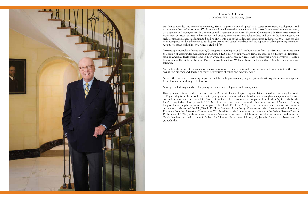

Mr. Hines founded his namesake company, Hines, a privately-owned global real estate investment, development and management firm, in Houston in 1957. Since then, Hines has steadily grown into a global powerhouse in real estate investment, development and management. As a co-owner and Chairman of the firm's Executive Committee, Mr. Hines participates in major new business ventures, cultivates new and existing investor relations relationships and advises the firm's regions on architectural excellence. In addition to building Hines into one of the leading real estate firms in the world, Mr. Hines has also been recognized for his adherence to the highest quality and ethical standards and his support of urban planning initiatives. Among his career highlights, Mr. Hines is credited for:

\*overseeing a portfolio of more than 1,100 properties, totaling over 351 million square feet. The firm now has more than \$89 billion of assets under management, including \$42.5 billion of equity assets Hines manages as a fiduciary. His first largescale commercial development came in 1967 when Shell Oil Company hired Hines to construct a new downtown Houston headquarters. The Galleria, Pennzoil Place, Transco Tower (now Williams Tower) and more than 400 other major buildings followed.

\*expanding the scope of the company by moving into foreign markets, introducing new product lines, initiating the firm's acquisition program and developing major new sources of equity and debt financing.

\*when other firms were financing projects with debt, he began financing projects primarily with equity in order to align the firm's interest more closely to its investors.

\*setting new industry standards for quality in real estate development and management.

Hines graduated from Purdue University with a BS in Mechanical Engineering and later received an Honorary Doctorate of Engineering from the school. He is a frequent guest lecturer at major universities and a sought-after speaker at industry events. Hines was appointed as a Life Trustee of the Urban Land Institute and recipient of the Institute's J.C. Nichols Prize for Visionary Urban Development in 2002. Mr. Hines is an honorary Fellow of the American Institute of Architects. Among his proudest accomplishments are the support of the Gerald D. Hines College of Architecture at the University of Houston and the establishment of the ULI/Gerald D. Hines Student Urban Design Competition. Mr. Hines received an Honorary Doctorate from the University of Houston in 2012. In addition, Mr. Hines served as chairman of the Federal Reserve Bank of Dallas from 1981-1983, and continues to serve as a Member of the Board of Advisors for the Baker Institute at Rice University. Gerald has been married to his wife Barbara for 35 years. He has four children, Jeff, Jennifer, Serena and Trevor, and 12 grandchildren.

### **Gerald D. Hines** FOUNDER AND CHAIRMAN, HINES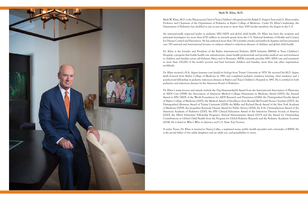### **Mark W. Kline, M.D.**



Mark W. Kline, M.D. is the Physician-in-Chief of Texas Children's Hospital and the Ralph D. Feigin Chair and J.S. Abercrombie Professor and Chairman of the Department of Pediatrics at Baylor College of Medicine. Under Dr. Kline's leadership, the Department of Pediatrics has doubled in size in just six years to more than 1000 faculty members, the largest in the U.S.

An internationally respected leader in pediatric HIV/AIDS and global child health, Dr. Kline has been the recipient and principal investigator for more than \$150 million in research grants from the U.S. National Institutes of Health and Centers for Disease Control and Prevention. He has authored more than 250 scientific articles and textbook chapters and has presented over 350 national and international lectures on subjects related to infectious diseases of children and global child health.

Dr. Kline is the founder and President of the Baylor International Pediatric AIDS Initiative (BIPAI) at Texas Children's Hospital, a program that builds health care infrastructure, trains health professionals and provides medical care and treatment to children and families across sub-Saharan Africa and in Romania. BIPAI currently provides HIV/AIDS care and treatment to more than 250,000 of the world's poorest and least fortunate children and families, more than any other organization worldwide.

Dr. Kline received a B.A. degree (summa cum laude) in biology from Trinity University in 1979. He received his M.D. degree (with honors) from Baylor College of Medicine in 1981 and completed pediatric residency training, chief residency and a postdoctoral fellowship in pediatric infectious diseases at Baylor and Texas Children's Hospital in 1987. He is certified in both pediatrics and infectious diseases by the American Board of Pediatrics.

Dr. Kline's many honors and awards include the Dag Hammarskjöld Award from the International Association of Physicians in AIDS Care (1998), the Association of American Medical Colleges Humanism in Medicine Award (2002), the Annual Award in HIV/AIDS of the World Foundation for AIDS Research and Prevention (2006), the Distinguished Faculty Award of Baylor College of Medicine (2007), the Medical Award of Excellence from Ronald McDonald House Charities (2007), the Distinguished Alumnus Award of Trinity University (2008), the Millie and Richard Brock Award of the New York Academy of Medicine (2009), the Jacqueline Kennedy Onassis Award for Public Service (2010), the E.H. Christopherson Award of the American Academy of Pediatrics (2010), the HIV Clinical Education Award of the Infectious Diseases Society of America (2010), the Albert Schweitzer Fellowship Program's Annual Humanitarian Award (2013) and the Award for Outstanding Contributions to Global Child Health from the Program for Global Pediatric Research and the Pediatric Academic Societies (2014). He is listed in Who's Who in America and U.S. News Top Doctors.

A native Texan, Dr. Kline is married to Nancy Calles, a registered nurse, public health specialist and co-founder of BIPAI. He is the proud father of two adult daughters and an adult son, and grandfather to seven.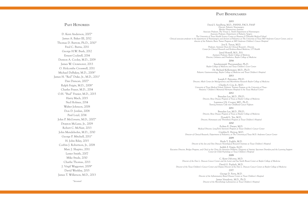## **s**

### PAST BENEFICIARIE **s**

### **2015**

### PAST HONOREE **s s**

David I. Sandberg, M.D., FANNS, FACS, FAAP *Director, Pediatric Neurosurgery Mischer Neuroscience Institute Associate Professor, The Vivian L. Smith Department of Neurosurgery Associate Professor, Department of Pediatric Surgery The University of Texas Health Science Center at Houston (UTHealth) Medical School Clinical associate professor in the department of Neurosurgery and division of Pediatrics at The University of Texas MD Anderson Cancer Center, and codirector of the Pediatric Brain Tumor Program at MD Anderson Children's Cancer Hospital*  Jon E. Tyson, M.D. *Professor, Assistant Dean for Clinical Research , Director, Center for Clinical Research and Evidence-Based Medicine, UT Health*  Jared Howell, M.S., B.S. *Assistant Professor, Baylor College of Medicine Director, Orthotics and Prosthetics, Baylor College of Medicine* **2014** Sundararajah Thevananther, Ph.D. *Baylor College of Medicine and Texas Children's Liver Center* Dr. Richard Kellermayer, M.D., Ph.D. *Pediatric Gastroenterology, Baylor College of Medicine and Texas Children's Hospital* **2013** Joseph F. Petrosino, PH.D. *Director, Alkek Center for Metagenomics and Microbiome Research Baylor College of Medicine* Charles S. Cox, Jr., M.D. *University of Texas Medical School, Pediatric Trauma Program at the University of Texas - Houston/ Children's Memorial Hermann Hospital in the Texas Medical Center* **2012** Brendan Lee, M.D., PH.D. *Director, Bone Disease Program of Texas at Baylor College of Medicine* Laurence J.N. Cooper, MD., Ph.D. *Turning Immune Cells into Childhood Cancer Fighters* **2011** Brendan Lee, M.D., PH.D. *Director, Bone Disease Program of Texas at Baylor College of Medicine* Donald L. Yee, M.D. *Director, Hemostasis and Thrombosis Program at Texas Children's Hospital* **2010** ZoAnn E. Dreyer, M.D. *Medical Director, Long-Term Survivors Program at Texas Children's Cancer Center* Cynthia E. Herzog, M.D. *Director of Clinical Research, Department of Pediatrics, at The University,of Texas M.D. Anderson Cancer Center* **2009** Huda Y. Zoghbi, M.D. *Director of the Jan and Dan Duncan Neurological Research Institute at Texas Children's Hospital* Judith Z. Feigin, Ed.D. *Executive Director, Bridges Program, and Chief at the Clinic for Attention Problems, Diagnosis of Autistic Spectrum Disorders,and the Learning Support Center for Child Psychology at Texas Children's Hospital* **2008** C. Kent Osborne, M.D. *Director of the Dan L. Duncan Cancer Center and the Lester and Sue Smith Breast Center at Baylor College of Medicine* David G. Poplack, M.D. *Director of the Texas Children's Cancer Center and Deputy Director of the Dan L. Duncan Cancer Center at Baylor College of Medicine* 2007 George D. Ferry, M.D. *Director of the Inflammatory Bowel Disease Center at Texas Children's Hospital* James Versalovic, M.D., Ph.D. *Director of the Microbiology Laboratories at Texas Children's Hospital*

D. Kent Anderson, 2007\* James A. Baker III, 2012 Thomas D. Barrow, Ph.D., 2010\* Fred C. Burns, 2011 George H.W. Bush, 2012 Ernest Cockrell, 2014 Denton A. Cooley, M.D., 2009 James W. Crownover, 2013 O. Holcombe Crosswell, 2011 Michael DeBakey, M.D., 2008\* James H. "Red" Duke, Jr., M.D., 2011\* Dan Duncan, 2007\* Ralph Feigin, M.D., 2008\* Charles Fraser, M.D., 2014 O.H. "Bud" Frazier, M.D., 2015 Harry Mach, 2015 Ned Holmes, 2014 Walter Johnson, 2008 Don D. Jordan, 2008 Paul Loyd, 2014 John P. McGovern, M.D., 2007\* Drayton McLane, Jr., 2009 Robert C. McNair, 2013 John Mendelsohn, M.D., 2010 George P. Mitchell, 2011\* H. John Riley, 2015 Corbin J. Robertson, Jr., 2008 Marc J. Shapiro, 2011 Lester Smith, 2007 Mike Stude, 2010 Charlie Thomas, 2013 J. Virgil Waggoner, 2009\* David Weekley, 2015 James T. Willerson, M.D., 2013

*\*deceased*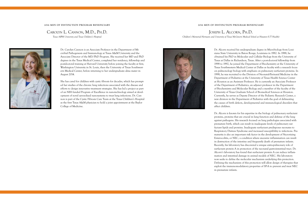### **2016 MEN OF DISTINCTION PROGRAM BENEFICIARY**

## Carolyn L. Cannon, M.D., Ph.D.

*Texas A&M University and Texas Children's Hospital*





### **2016 MEN OF DISTINCTION PROGRAM BENEFICIARY**

## Joseph L. Alcorn, Ph.D.

*Children's Memorial Hermann and University of Texas McGovern Medical School at Houston (UT Health)*

Dr. Carolyn Cannon is an Associate Professor in the Department of Microbial Pathogenesis and Immunology at Texas A&M University and the Associate Director of the MD/PhD Program. She received her MD and PhD degrees in the Texas Medical Center, completed her residency, fellowship and postdoctoral training at Harvard University before joining the faculty at first, Washington University in St. Louis, then the University of Texas Southwestern Medical Center, before returning to her undergraduate alma mater in August 2014.

She has cared for children with cystic fibrosis for decades, which has prompted her studies of the chronic lung infections associated with the disease and efforts to design innovative treatment strategies. She has led a project as part of an NIH funded Program of Excellence in nanotechnology aimed at development of novel aerosolized nanosystems to treat lung infections. Dr. Cannon is part of the Cystic Fibrosis Care Team at the Texas Children's Hospital as the first Texas A&M physician to hold a joint appointment at the Baylor College of Medicine.



Dr. Alcorn received his undergraduate degree in Microbiology from Louisiana State University in Baton Rouge, Louisiana in 1982. In 1988, he obtained his PhD in Molecular and Cellular Biology from the University of Texas at Dallas in Richardson, Texas. After a post-doctoral fellowship from 1998 to 1992, he joined the Department of Biochemistry at the University of Texas Southwestern Medical Center at Dallas as faculty with a research focus on pulmonology biology with emphasis on pulmonary surfactant proteins. In 1998, he was recruited to the Division of Neonatal-Perinatal Medicine in the Department of Pediatrics at the University of Texas Health Science Center at Houston as an Assistant Professor. He is currently an Associate Professor of the Department of Pediatrics, an adjunct professor in the Department of Biochemistry and Molecular Biology and a member of the faculty of the University of Texas Graduate School of Biomedical Sciences at Houston. Currently, he serves as Deputy Director of the Pediatric Research Center, a new division in the Department of Pediatrics with the goal of delineating the causes of birth defects, developmental and immunological disorders that affect children.

Dr. Alcorn is known for his expertise in the biology of pulmonary surfactant proteins, proteins that are crucial in lung function and defense of the lung against pathogens. His research focused on lung pathologies associated with premature birth, which can result in inadequate levels of pulmonary surfactant lipids and proteins. Inadequate surfactant predisposes neonates to Respiratory Distress Syndrome and increased susceptibility to infections. Prematurity is also an important risk factor in the development of Necrotizing Enterocolitis, or NEC, a condition where excessive inflammation can result in destruction of the intestine and frequently death of premature infants. Recently, his laboratory has discovered a unique extra-pulmonary role of surfactant protein A in protection of the neonatal gastrointestinal tract. Dr. Alcorn's laboratory has found that surfactant protein A can reduce inflammation and intestinal damage in animal models of NEC. His laboratory now seeks to define the molecular mechanism underlying this protection. Defining the mechanism of this protection will allow design of therapies that exploit the immunomodulatory properties of SP-A to prevent and treat NEC in premature infants.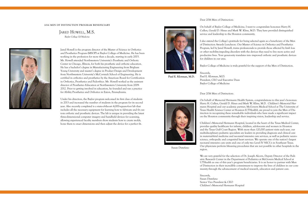

**Paul E. Klotman, M.D.**

Dear 2016 Men of Distinction:

On behalf of Baylor College of Medicine, I want to congratulate honorees Harry H. Cullen, Gerald D. Hines and Mark W. Kline, M.D. They have provided distinguished service and leadership to the Houston community.

I also extend the College's gratitude for being selected again as a beneficiary of the Men of Distinction Awards Luncheon. Our Master of Science in Orthotics and Prosthetics Program, led by Jared Howell, trains professionals to provide those affected by limb loss or other mobility-impeding disorders with the devices they need to live more active and productive lives. Your generosity translates into improved orthotic and prosthetic devices for children in our area.

Baylor College of Medicine is truly grateful for the support of the Men of Distinction.

Sincerely, Paul E. Klotman, M.D. President, CEO and Executive Dean Baylor College of Medicine

Dear 2016 Men of Distinction:

On behalf of Memorial Hermann Health System, congratulations to this year's honorees: Harry H. Cullen, Gerald D. Hines and Mark W. Kline, M.D. Children's Memorial Hermann Hospital and our academic partner, McGovern Medical School at The University of Texas Health Science Center at Houston (UTHealth), are proud to join the Men of Distinction in recognizing these remarkable individuals who have made a significant impact on the Houston community through their inspiring vision, leadership and service.

Children's Memorial Hermann Hospital, located in the heart of the Texas Medical Center, provides quality healthcare for infants, children, adolescents and women in Houston and the Texas Gulf Coast Region. With more than 120,000 patient visits each year, our multidisciplinary pediatric specialists are leaders in providing diagnosis and clinical care in maternal-fetal medicine and neonatal intensive care services, as well as pediatric neuroscience, orthopedic and congenital heart services. We operate one of the nation's largest neonatal intensive care units and one of only two Level IV NICUs in Southeast Texas. Our physicians perform lifesaving procedures that are not possible in other hospitals in the region.

We are very grateful for the selection of Dr. Joseph Alcorn, Deputy Director of the Pediatric Research Center in the Department of Pediatrics at McGovern Medical School at UTHealth as one of this year's program beneficiaries. It is an honor to partner with Men of Distinction in their incredible commitment to improve the lives of children in our community through the advancement of medical research, education and patient care.

Sincerely, Susan Distefano Senior Vice President & CEO Children's Memorial Hermann Hospital

Susan Distefano

### **2016 MEN OF DISTINCTION PROGRAM BENEFICIARY**

Jared Howell, M.S. *Baylor College Of Medicine*



Jared Howell is the program director of the Master of Science in Orthotics and Prosthetics Program (MSOP) at Baylor College of Medicine. He has been working in the profession for more than a decade, starting in early 2003. Mr. Howell attended Northwestern University's Prosthetic and Orthotic Center in Chicago, Illinois, for both his prosthetic and orthotic education. He has a bachelor's degree in Manufacturing Engineering from Brigham Young University and master's degree in Product Design and Development from Northwestern University's McCormick School of Engineering. He is certified in orthotics and prosthetics by the American Board for Certification in Orthotics, Prosthetics and Pedorthics. Mr. Howell worked as the assistant director of Prosthetics Education at Northwestern University from 2009- 2012. Prior to getting involved in education, he founded and ran a practice for Ability Prosthetics and Orthotics in Exton, Pennsylvania.

Under his direction, the Baylor program welcomed its first class of students in 2013 and increased the number of students in the program for its second year. Also recently completed is a state-of-the-art 4,000-square-foot lab that includes all the necessary equipment for learning how to fabricate and fit custom orthotic and prosthetic devices. The lab is unique in providing the latest three-dimensional computer imagery and handheld devices for scanning, allowing experienced faculty members show students how to create molds, hone them to exact dimensions and then adjust the device for a perfect fit.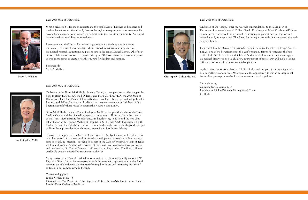

**Mark A. Wallace**

Dear 2016 Men of Distinction,

What a privilege it is for me to congratulate this year's Men of Distinction honorees and medical beneficiaries. You all truly deserve the highest recognition for our many notable accomplishments and your unwavering dedication to the Houston community. Your work has enriched countless lives in untold ways.

I also commend the Men of Distinction organization for reaching this important milestone – 10 years of acknowledging distinguished individuals and investing in biomedical research, education and patient care in the Texas Medical Center. All of us at Texas Children's are honored to partner with you. We look forward to many more years of working together to create a healthier future for children and families.

Best Regards, Mark A. Wallace

Dear 2016 Men of Distinction,

On behalf of the Texas A&M Health Science Center, it is my pleasure to offer congratulations to Harry H. Cullen, Gerald D. Hines and Mark W. Kline, M.D., the 2016 Men of Distinction. The Core Values of Texas A&M are Excellence, Integrity, Leadership, Loyalty, Respect, and Selfless Service, and I believe that these new members and all Men of Distinction exemplify these values in serving the Houston community.

Texas A&M Health Science Center College of Medicine is a proud member of the Texas Medical Center and the biomedical research community of Houston. Since the creation of the Texas A&M Institute for Biosciences and Technology in 1986 and the new clinical affiliation with Houston Methodist Hospital in 2014, Texas A&M has partnered with institutions and individuals in Houston to improve the health and well-being of the people of Texas through excellence in education, research and health care delivery.

Thanks to the support of the Men of Distinction, Dr. Carolyn Cannon will be able to expand her research in nanotechnology aimed at development of novel aerosolized nanosystems to treat lung infections, particularly as part of the Cystic Fibrosis Care Team at Texas Children's Hospital. Additionally, because of the direct link between bacterial pathogens and pneumonia, Dr. Cannon's research efforts stand to impact the 156 million children worldwide who are affected by pneumonia each year.

Many thanks to the Men of Distinction for selecting Dr. Cannon as a recipient of a 2016 Physician Grant. It is an honor to partner with this esteemed organization to uphold and promote the values that we share in transforming healthcare and improving the lives of children in our community and beyond.

Thanks and gig 'em! Paul E. Ogden, M.D. '78 Interim Senior Vice President & Chief Operating Officer, Texas A&M Health Science Center Interim Dean, College of Medicine





Paul E. Ogden, M.D.

**Giuseppe N. Colasurdo, MD**

### Dear 2016 Men of Distinction:

On behalf of UTHealth, I offer my heartfelt congratulations to the 2016 Men of Distinction honorees: Harry H. Cullen, Gerald D. Hines, and Mark W. Kline, MD. Your commitment to advance health research, education and patient care in Houston and beyond is truly an inspiration. Thank you for setting an example that has earned this welldeserved honor.

I am grateful to the Men of Distinction Steering Committee for selecting Joseph Alcorn, PhD, as one of the beneficiaries for this year's program. His work represents the best of UTHealth's collaboration with Children's Memorial Hermann to create and apply biomedical discoveries to heal children. Your support of his research will make a lasting difference for some of our most vulnerable patients.

Again, thank you for your vision to join UTHealth and our partners solve the greatest health challenges of our time. We appreciate the opportunity to join with exceptional leaders like you to promote health advancements that change lives.

Sincerely yours, Giuseppe N. Colasurdo, MD President and Alkek-Williams Distinguished Chair UTHealth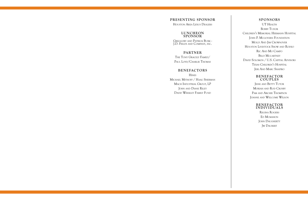### **PRESENTING SPONSOR**

Houston Area Lexus Dealers

### **LUNCHEON SPONSOR**

Greggory and Patrick Burk - J.D. Fields and Company, inc.

## **PARTNER**

The Tony Gracely Family/ Paul Loyd/Charlie Thomas

### **BENEFACTORS**

Hines Michael Mithoff / Haag Sherman Mach Industrial Group, LP JOHN AND DIANE RILEY David Weekley Family Fund

> Regina Rogers ED MCMAHON JOHN DAUGHERTY Jw DAUBERT

**SPONSORS** UT HEALTH **BOBBY TUDOR** Children's Memorial Hermann Hospital JOHN P. MCGOVERN FOUNDATION Molly And Jim Crownover Houston Livestock Show and Rodeo Ric And Mo Campo BILLY MCCARTNEY David Solomon / U.S. Capital Advisors Texas Children's Hospital Jeri And Marc Shapiro

### **BENEFACTOR COUPLES**

Jesse and Betty Tutor Moriah and Rod Crosby Pam and Archie Thompson Joanne and Welcome Wilson

### **BENEFACTOR INDIVIDUALS**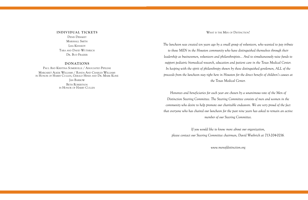*The luncheon was created ten years ago by a small group of volunteers, who wanted to pay tribute to those MEN in the Houston community who have distinguished themselves through their leadership as businessmen, volunteers and philanthropists... And to simultaneously raise funds to support pediatric biomedical research, education and patient care in the Texas Medical Center. In keeping with the spirit of philanthropy shown by these distinguished gentlemen, ALL of the proceeds from the luncheon stay right here in Houston for the direct benefit of children's causes at the Texas Medical Center.*

*Honorees and beneficiaries for each year are chosen by a unanimous vote of the Men of Distinction Steering Committee. The Steering Committee consists of men and women in the community who desire to help promote our charitable endeavors. We are very proud of the fact that everyone who has chaired our luncheon for the past nine years has asked to remain an active member of our Steering Committee.*

*If you would like to know more about our organization, please contact our Steering Committee chairman, David Wuthrich at 713-204-0216.*

*www.menofdistinction.org*

### **INDIVIDUAL TICKETS**

Denis Debakey MARSHALL SMITH Lisa Kennedy Tara and David Wuthrich Dr. Bud Frazier

### **DONATIONS**

Paul And Kristina Somerville / Associated Pipeline Margaret Alkek Williams / Randa And Charles Williams in Honor of Harry Cullen, Gerald Hines and Dr. Mark Kline Jan Barrow BETH ROBERTSON in Honor of Harry Cullen

WHAT IS THE MEN OF DISTINCTION?